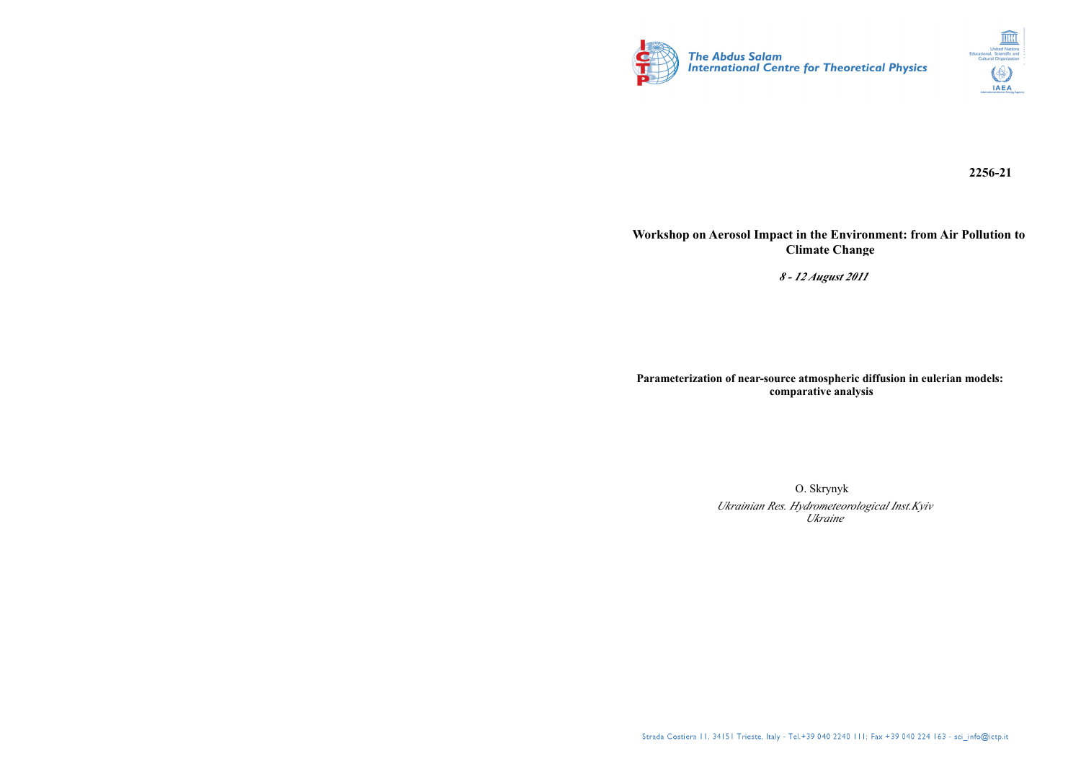



**2256-21**

#### **Workshop on Aerosol Impact in the Environment: from Air Pollution to Climate Change**

*8 - 12 August 2011*

**Parameterization of near-source atmospheric diffusion in eulerian models: comparative analysis**

> O. Skrynyk *Ukrainian Res. Hydrometeorological Inst.Kyiv Ukraine*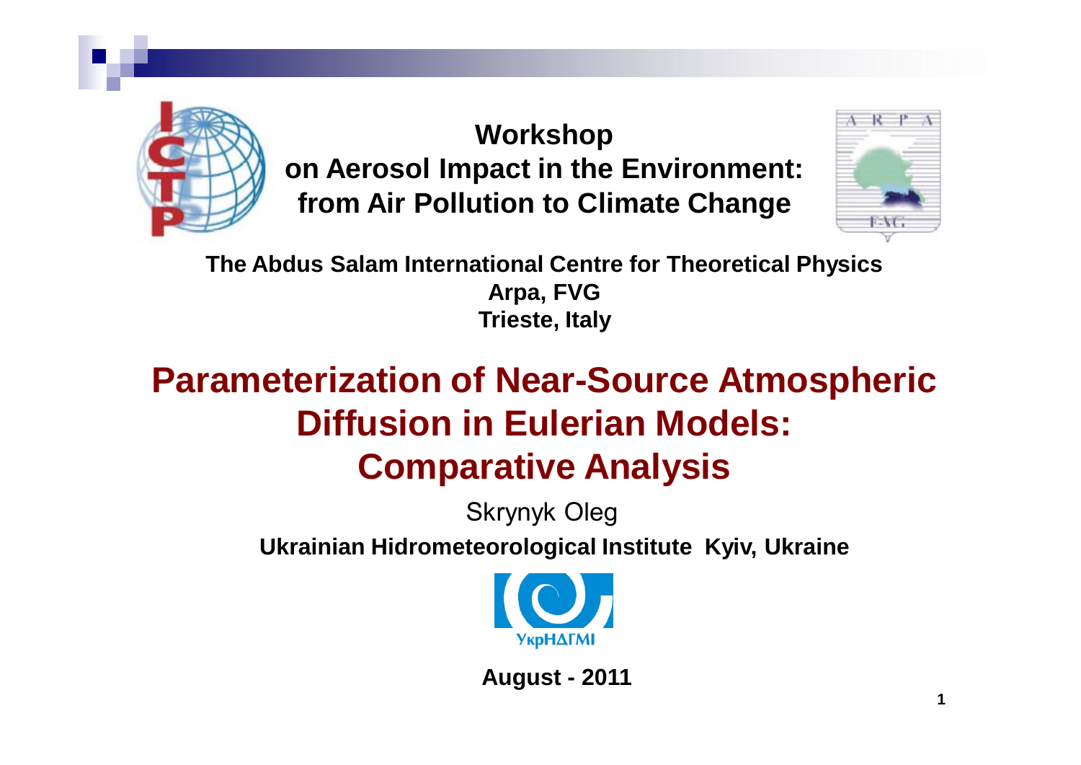

**Workshop on Aerosol Impact in the Environment: from Air Pollution to Climate Change**



**The Abdus Salam International Centre for Theoretical Physics Arpa, FVG Trieste, Italy**

# **Parameterization of Near-Source Atmospheric Diffusion in Eulerian Models: Comparative Analysis**

Skrynyk Oleg

**Ukrainian Hidrometeorological Institute Kyiv, Ukraine**



**August - 2011**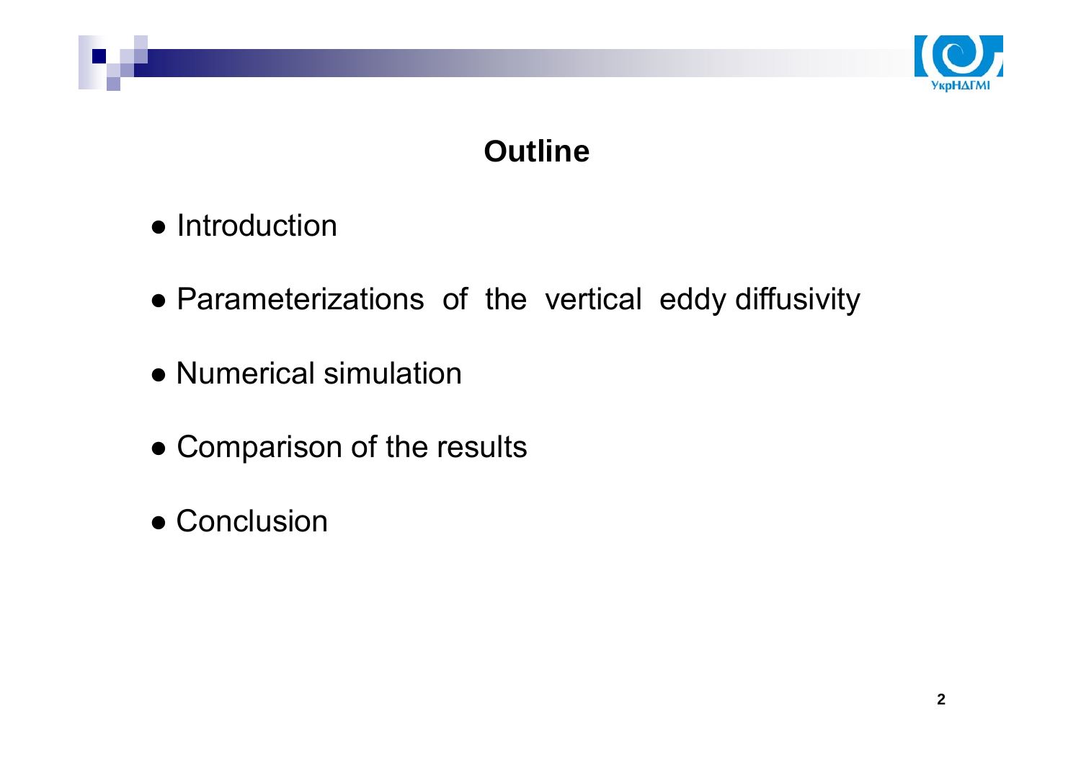

## **Outline**

- Introduction
- Parameterizations of the vertical eddy diffusivity
- Numerical simulation
- Comparison of the results
- Conclusion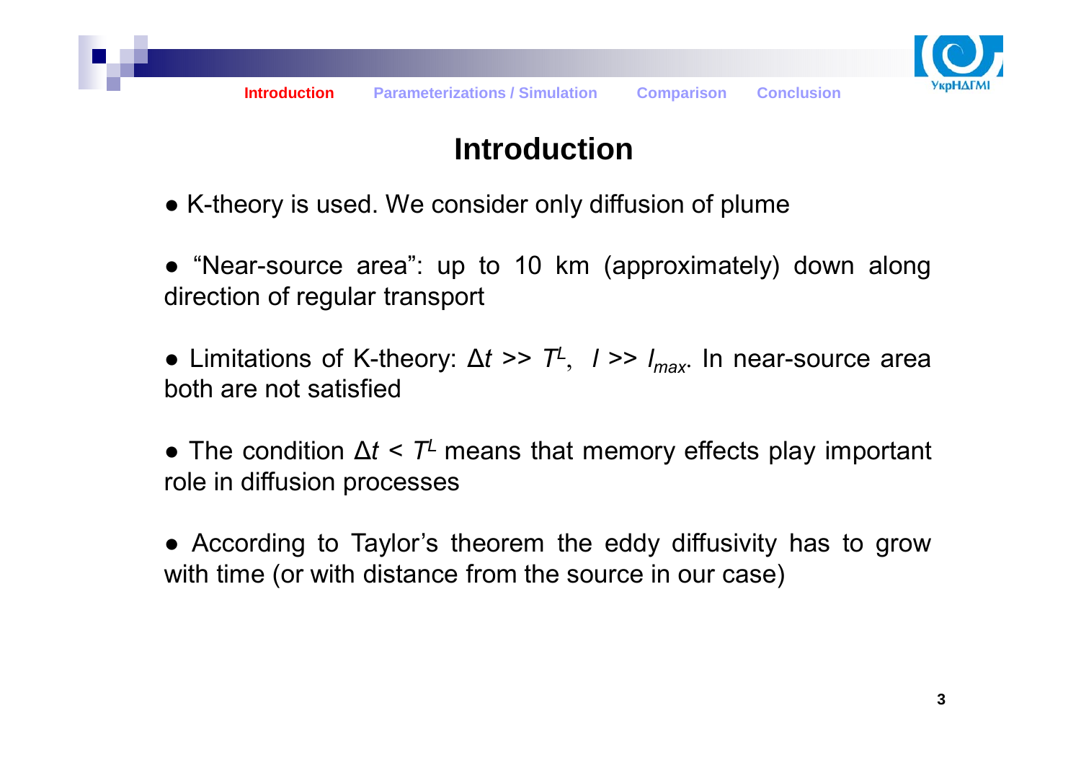

## **Introduction**

- K-theory is used. We consider only diffusion of plume
- "Near-source area": up to 10 km (approximately) down along direction of regular transport
- Limitations of K-theory: ∆*<sup>t</sup> >> TL*, *<sup>l</sup>* >> *lmax*. In near-source area both are not satisfied
- The condition  $\Delta t$  < T<sup>⊥</sup> means that memory effects play important role in diffusion processes
- According to Taylor's theorem the eddy diffusivity has to grow with time (or with distance from the source in our case)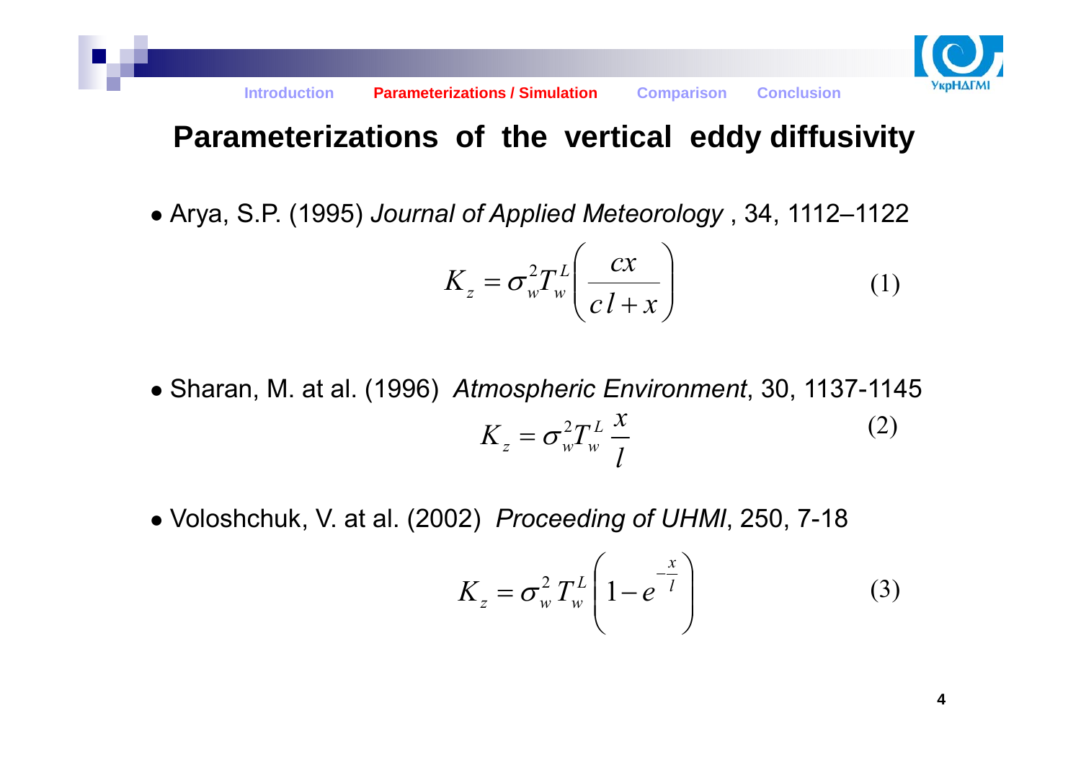

### **Parameterizations of the vertical eddy diffusivity**

● Arya, S.P. (1995) *Journal of Applied Meteorology* , 34, 1112–1122

$$
K_z = \sigma_w^2 T_w^L \left(\frac{cx}{c l + x}\right) \tag{1}
$$

- *lx* $K_{z}=\sigma_{w}^{2}T_{w}^{L}$  : ● Sharan, M. at al. (1996) *Atmospheric Environment*, 30, 1137-1145 (2)
- Voloshchuk, V. at al. (2002) *Proceeding of UHMI*, 250, 7-18

$$
K_z = \sigma_w^2 T_w^L \left( 1 - e^{-\frac{x}{l}} \right)
$$
 (3)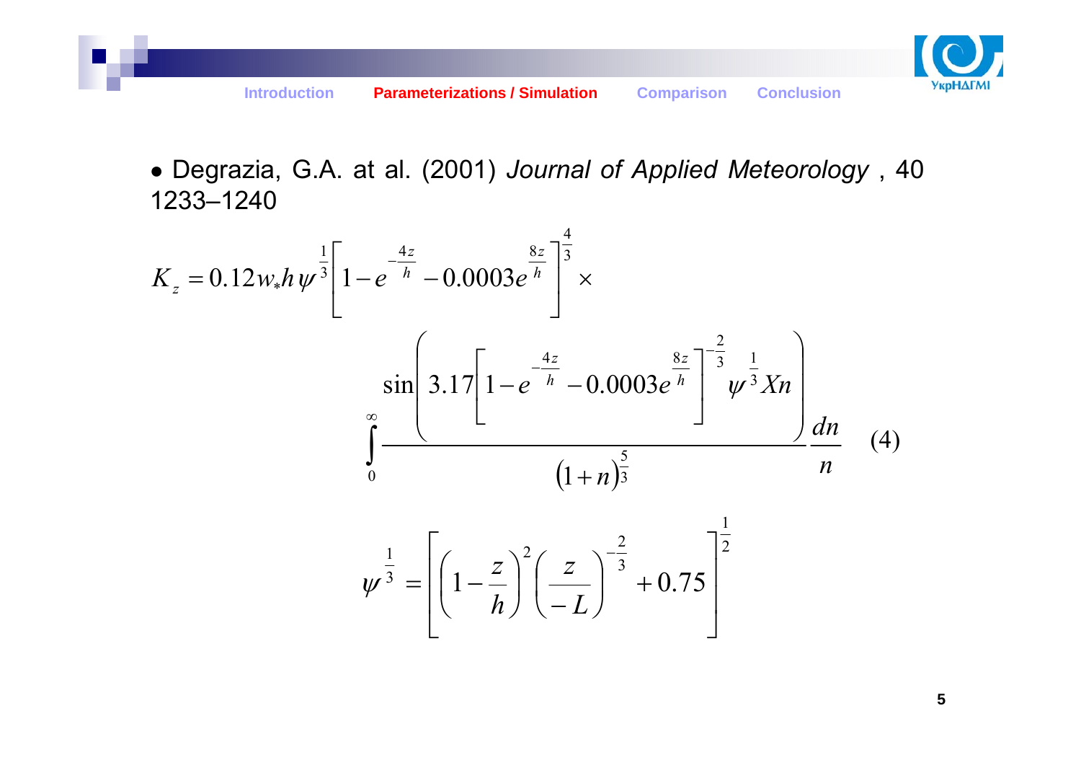

● Degrazia, G.A. at al. (2001) *Journal of Applied Meteorology* , 40 1233–1240

$$
K_{z} = 0.12 w_{*} h \psi^{\frac{1}{3}} \left[ 1 - e^{-\frac{4z}{h}} - 0.0003 e^{\frac{8z}{h}} \right]^{\frac{4}{3}} \times
$$
  

$$
\sin \left[ 3.17 \left[ 1 - e^{-\frac{4z}{h}} - 0.0003 e^{\frac{8z}{h}} \right]^{-\frac{2}{3}} \psi^{\frac{1}{3}} X n \right]
$$

$$
\int_{0}^{\infty} \frac{(1+n)^{\frac{5}{3}}}{\left( 1 - \frac{z}{h} \right)^{2} \left( \frac{z}{-L} \right)^{-\frac{2}{3}} + 0.75 \Bigg]^{\frac{1}{2}} (4)
$$

5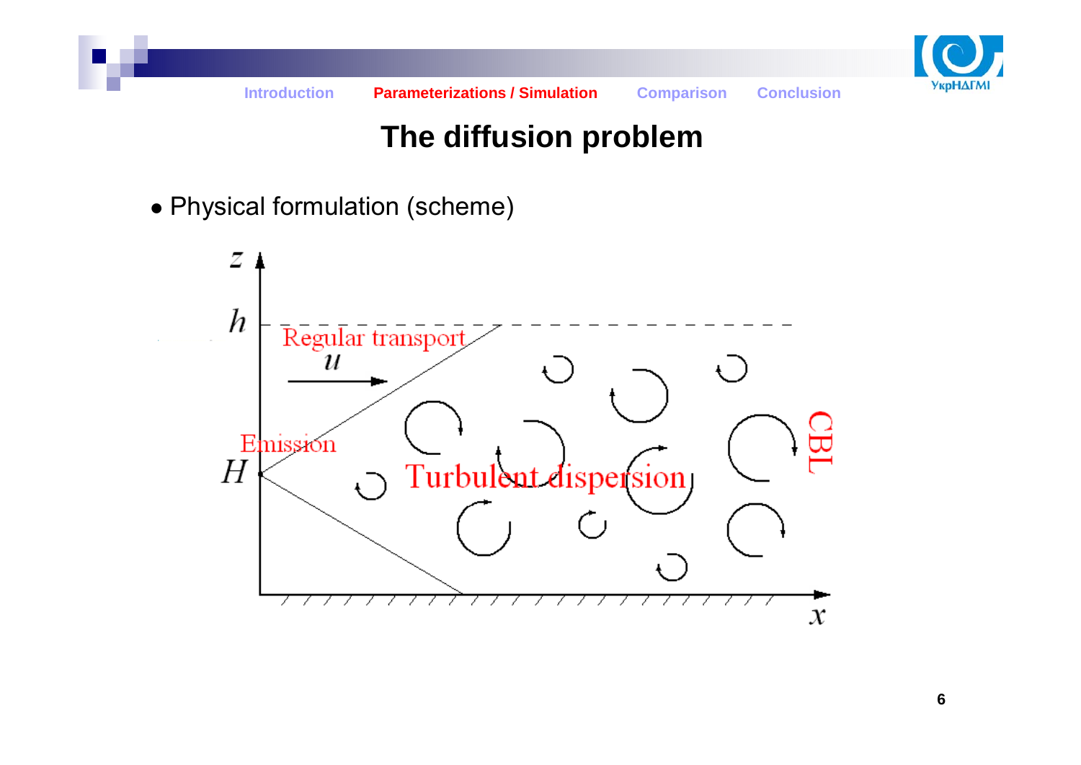

## **The diffusion problem**

• Physical formulation (scheme)

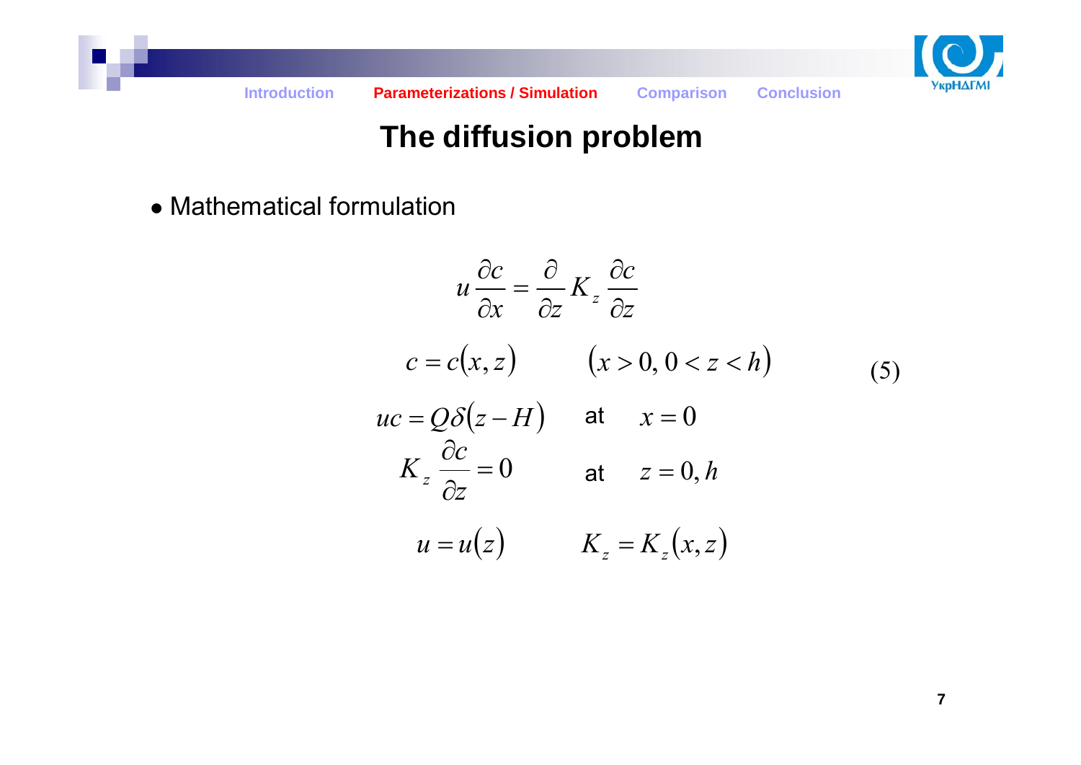

## **The diffusion problem**

• Mathematical formulation

$$
u\frac{\partial c}{\partial x} = \frac{\partial}{\partial z} K_z \frac{\partial c}{\partial z}
$$
  
\n
$$
c = c(x, z) \qquad (x > 0, 0 < z < h)
$$
  
\n
$$
uc = Q\delta(z - H) \qquad \text{at} \qquad x = 0
$$
  
\n
$$
K_z \frac{\partial c}{\partial z} = 0 \qquad \qquad \text{at} \qquad z = 0, h
$$
  
\n
$$
u = u(z) \qquad \qquad K_z = K_z(x, z)
$$
\n(5)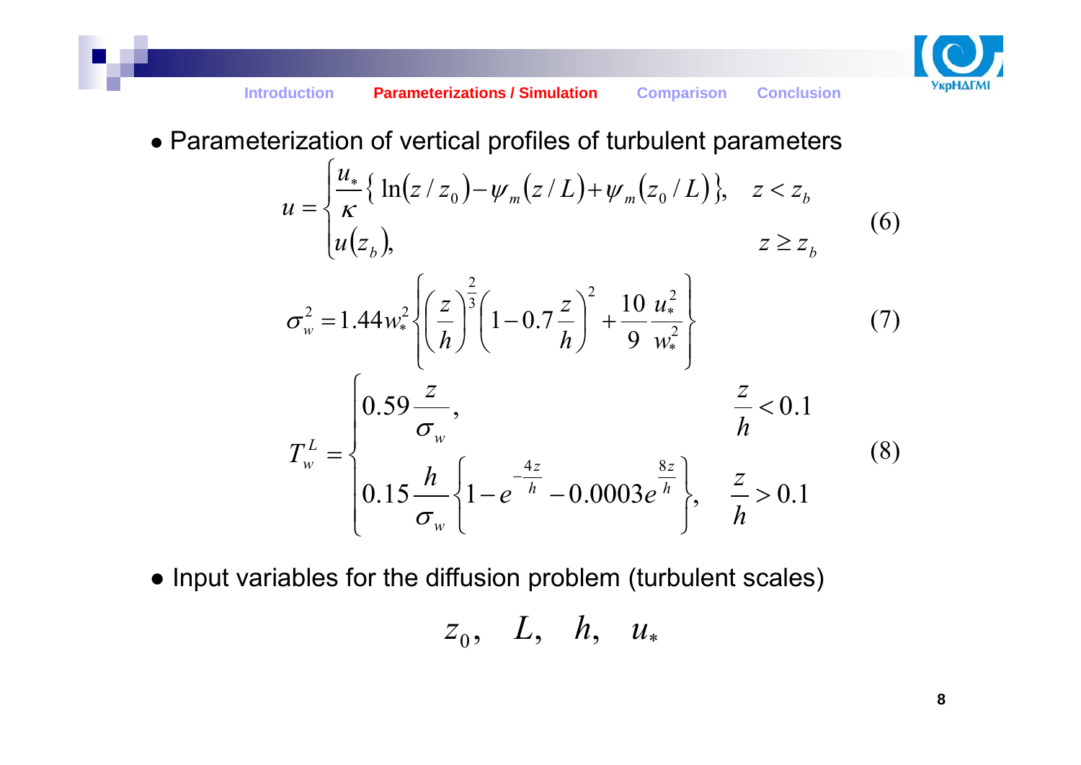

• Parameterization of vertical profiles of turbulent parameters

$$
u = \begin{cases} \frac{u_*}{\kappa} \{ \ln(z/z_0) - \psi_m(z/L) + \psi_m(z_0/L) \}, & z < z_b \\ u(z_b), & z \ge z_b \end{cases}
$$
 (6)

$$
\sigma_w^2 = 1.44 w_*^2 \left\{ \left( \frac{z}{h} \right)^{\frac{2}{3}} \left( 1 - 0.7 \frac{z}{h} \right)^2 + \frac{10}{9} \frac{u_*^2}{w_*^2} \right\}
$$
(7)  

$$
T_w^L = \begin{cases} 0.59 \frac{z}{\sigma_w}, & \frac{z}{h} < 0.1 \\ 0.15 \frac{h}{\sigma_w} \left\{ 1 - e^{-\frac{4z}{h}} - 0.0003 e^{\frac{8z}{h}} \right\}, & \frac{z}{h} > 0.1 \end{cases}
$$
(8)

● Input variables for the diffusion problem (turbulent scales)

$$
z_0, L, h, u_*
$$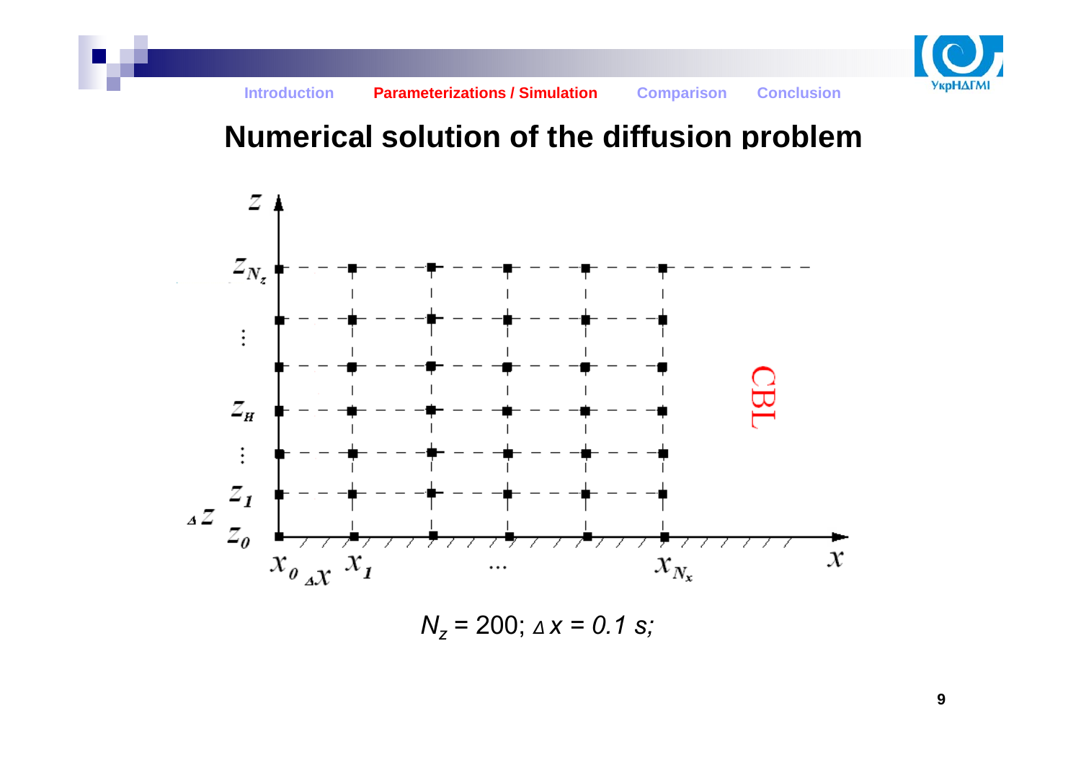

#### **Numerical solution of the diffusion problem**



*Nz* = 200; *<sup>∆</sup> x = 0.1 s;*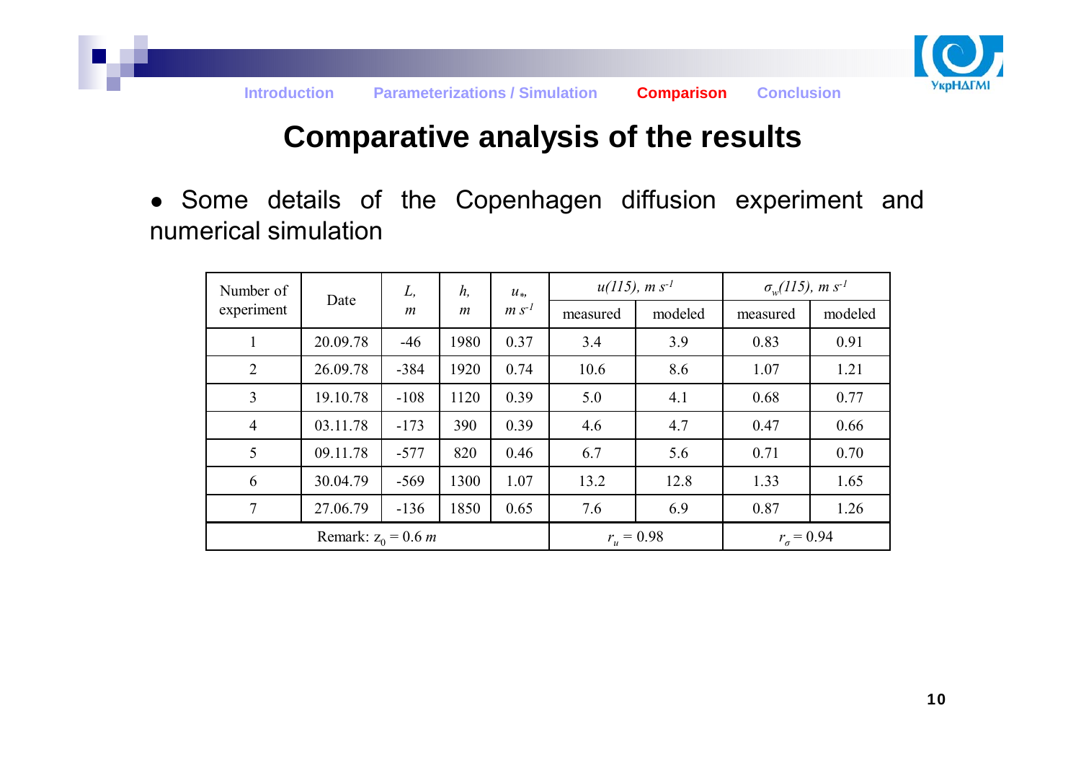

#### **Comparative analysis of the results**

● Some details of the Copenhagen diffusion experiment and numerical simulation

| Number of      | Date                         | L,<br>$\boldsymbol{m}$ | h,<br>$\boldsymbol{m}$ | $u_*,$<br>$m s^{-1}$ | $u(115)$ , m s <sup>-1</sup> |              | $\sigma_w(115)$ , m s <sup>-1</sup> |         |
|----------------|------------------------------|------------------------|------------------------|----------------------|------------------------------|--------------|-------------------------------------|---------|
| experiment     |                              |                        |                        |                      | measured                     | modeled      | measured                            | modeled |
|                | 20.09.78                     | $-46$                  | 1980                   | 0.37                 | 3.4                          | 3.9          | 0.83                                | 0.91    |
| $\overline{2}$ | 26.09.78                     | $-384$                 | 1920                   | 0.74                 | 10.6                         | 8.6          | 1.07                                | 1.21    |
| 3              | 19.10.78                     | $-108$                 | 1120                   | 0.39                 | 5.0                          | 4.1          | 0.68                                | 0.77    |
| $\overline{4}$ | 03.11.78                     | $-173$                 | 390                    | 0.39                 | 4.6                          | 4.7          | 0.47                                | 0.66    |
| 5              | 09.11.78                     | $-577$                 | 820                    | 0.46                 | 6.7                          | 5.6          | 0.71                                | 0.70    |
| 6              | 30.04.79                     | $-569$                 | 1300                   | 1.07                 | 13.2                         | 12.8         | 1.33                                | 1.65    |
| 7              | 27.06.79                     | $-136$                 | 1850                   | 0.65                 | 7.6                          | 6.9          | 0.87                                | 1.26    |
|                | Remark: $z_0 = 0.6$ <i>m</i> |                        |                        |                      | $r_{u} = 0.98$               | $r_a = 0.94$ |                                     |         |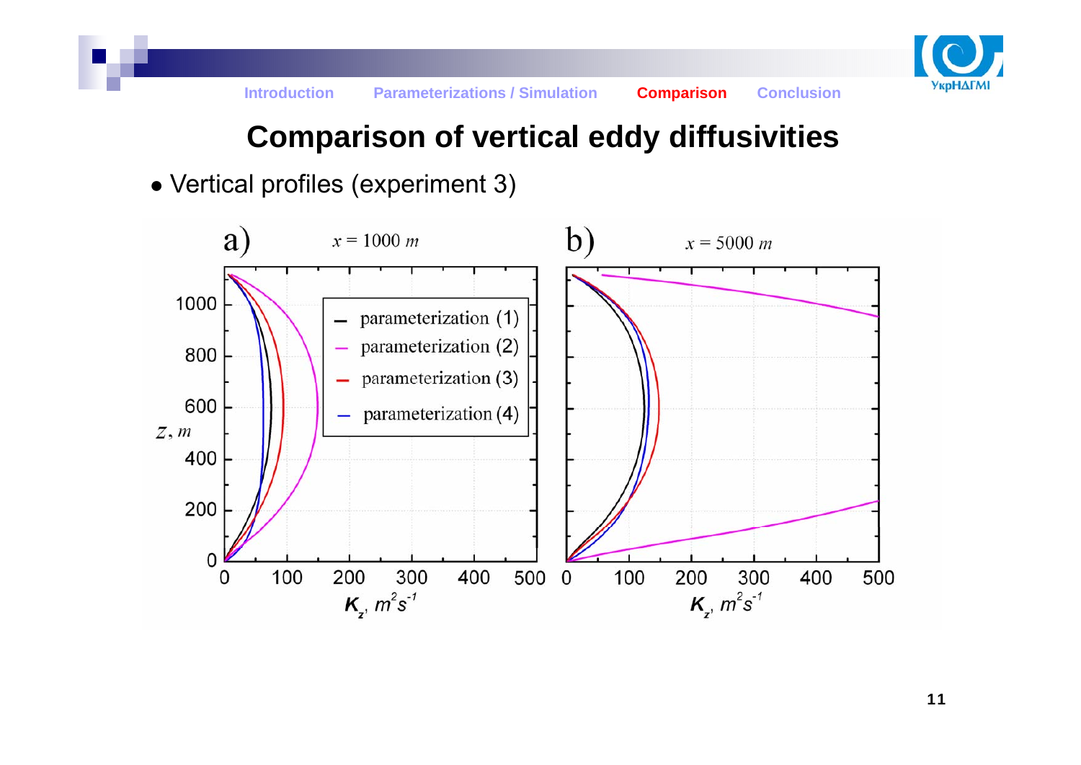

## **Comparison of vertical eddy diffusivities**

• Vertical profiles (experiment 3)

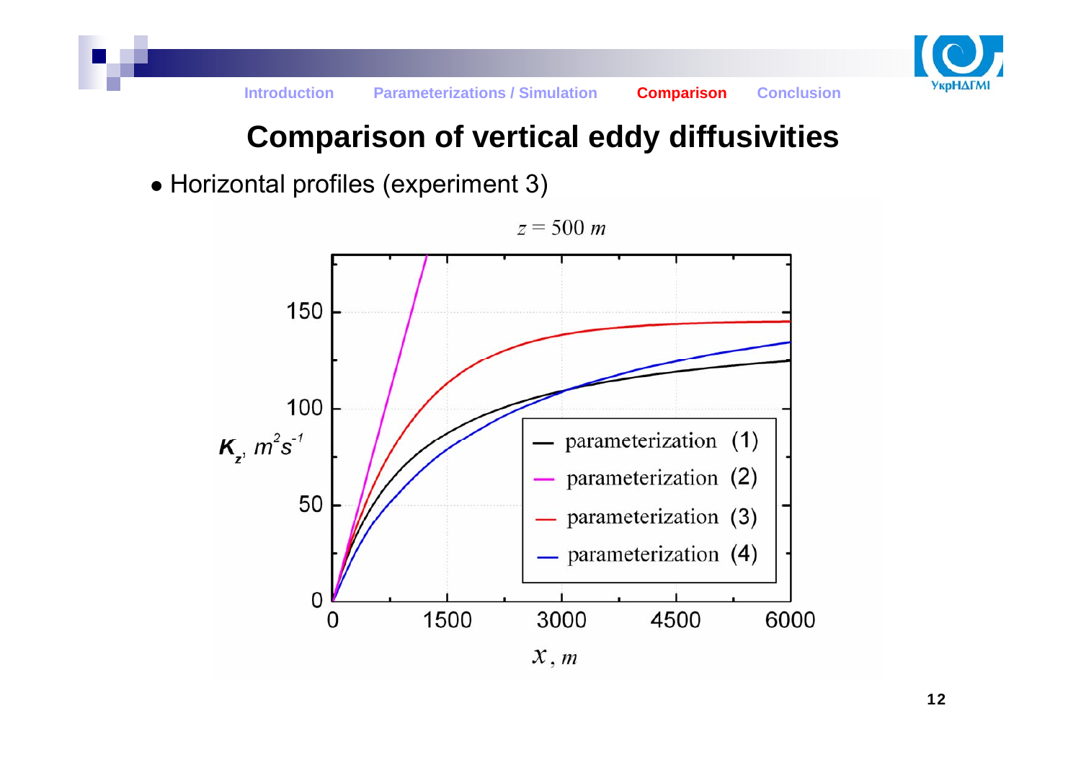

### **Comparison of vertical eddy diffusivities**

• Horizontal profiles (experiment 3)

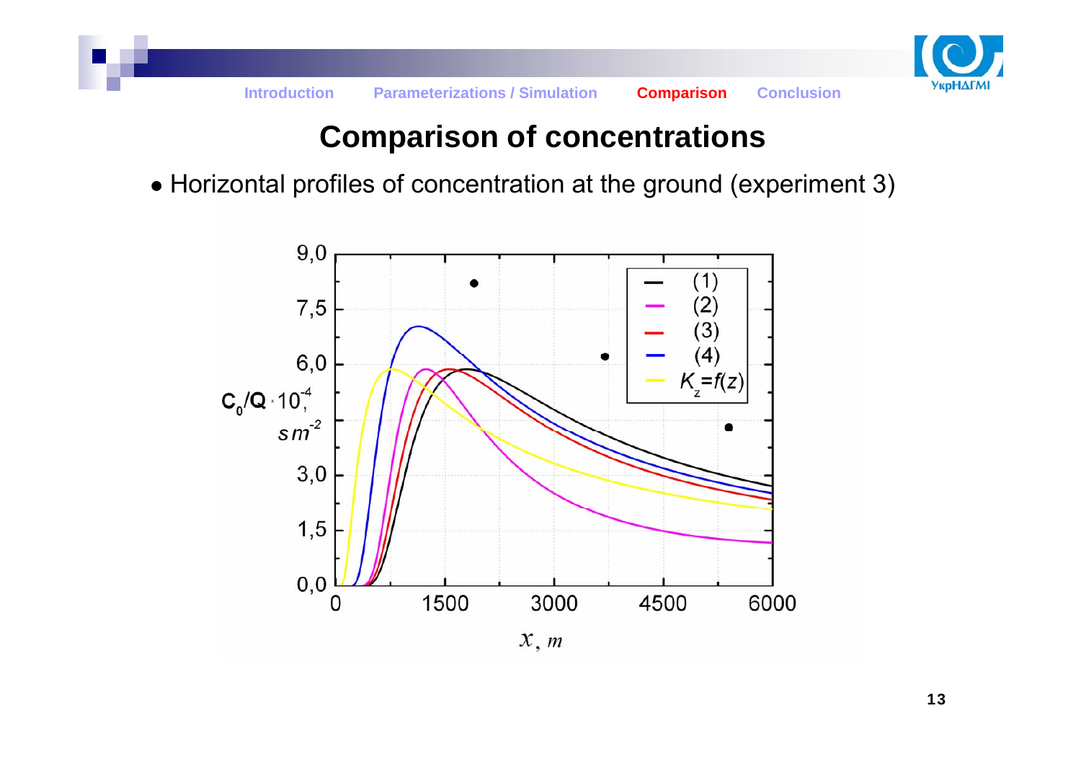

## **Comparison of concentrations**

• Horizontal profiles of concentration at the ground (experiment 3)

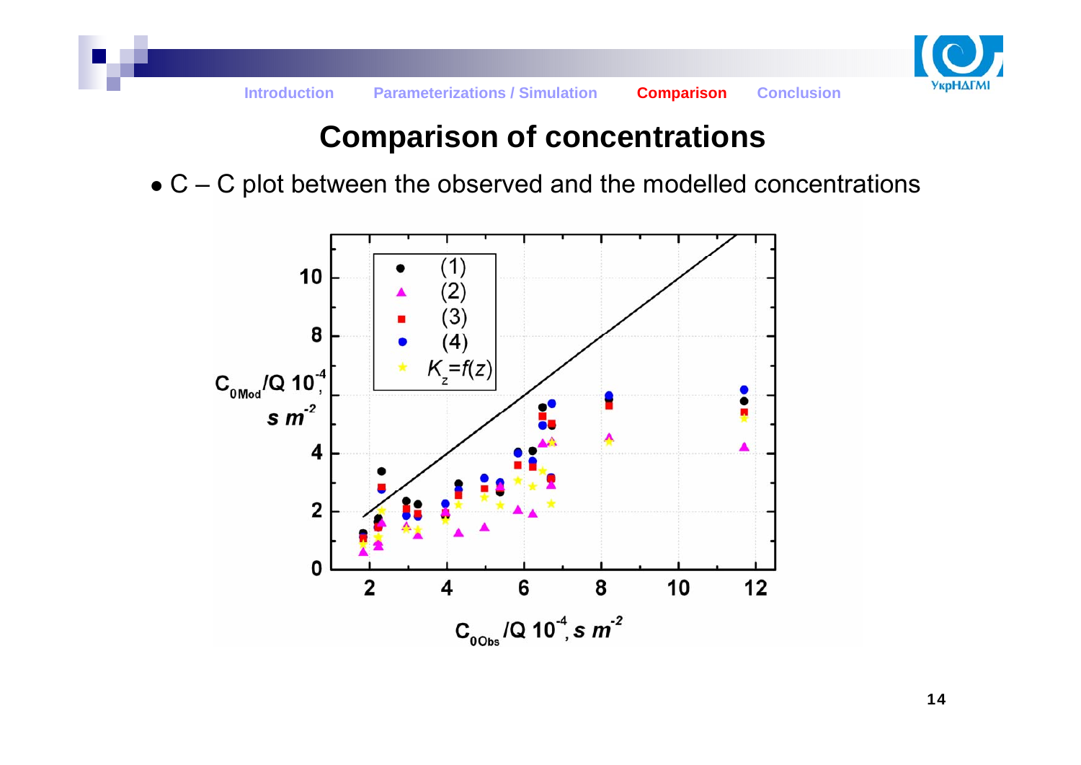

## **Comparison of concentrations**

 $\bullet$  C – C plot between the observed and the modelled concentrations



14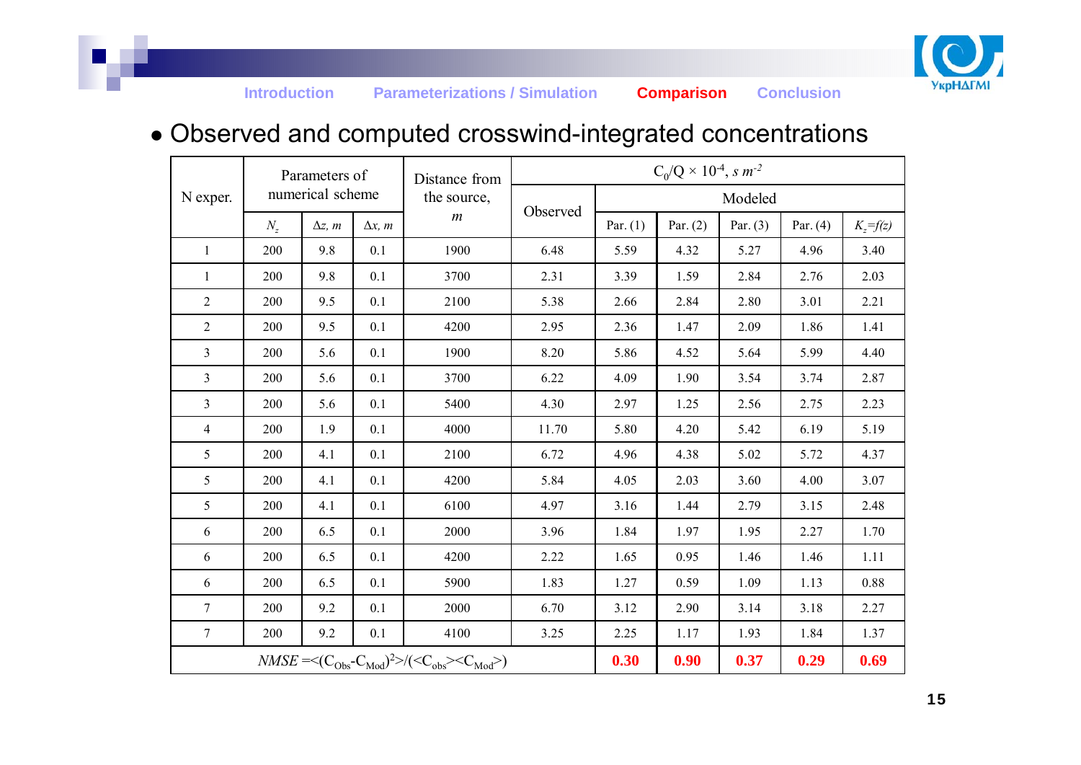

#### ● Observed and computed crosswind-integrated concentrations

|                                                                                                    | Parameters of<br>numerical scheme |                |                | Distance from<br>the source, | $C_0/Q \times 10^{-4}$ , s m <sup>-2</sup> |            |            |            |            |              |
|----------------------------------------------------------------------------------------------------|-----------------------------------|----------------|----------------|------------------------------|--------------------------------------------|------------|------------|------------|------------|--------------|
| N exper.                                                                                           |                                   |                |                |                              |                                            | Modeled    |            |            |            |              |
|                                                                                                    | $N_z$                             | $\Delta z$ , m | $\Delta x$ , m | $\boldsymbol{m}$             | Observed                                   | Par. $(1)$ | Par. $(2)$ | Par. $(3)$ | Par. $(4)$ | $K_z = f(z)$ |
| $\mathbf{1}$                                                                                       | 200                               | 9.8            | 0.1            | 1900                         | 6.48                                       | 5.59       | 4.32       | 5.27       | 4.96       | 3.40         |
| 1                                                                                                  | 200                               | 9.8            | 0.1            | 3700                         | 2.31                                       | 3.39       | 1.59       | 2.84       | 2.76       | 2.03         |
| $\overline{2}$                                                                                     | 200                               | 9.5            | 0.1            | 2100                         | 5.38                                       | 2.66       | 2.84       | 2.80       | 3.01       | 2.21         |
| $\overline{2}$                                                                                     | 200                               | 9.5            | 0.1            | 4200                         | 2.95                                       | 2.36       | 1.47       | 2.09       | 1.86       | 1.41         |
| 3                                                                                                  | 200                               | 5.6            | 0.1            | 1900                         | 8.20                                       | 5.86       | 4.52       | 5.64       | 5.99       | 4.40         |
| 3                                                                                                  | 200                               | 5.6            | 0.1            | 3700                         | 6.22                                       | 4.09       | 1.90       | 3.54       | 3.74       | 2.87         |
| 3                                                                                                  | 200                               | 5.6            | 0.1            | 5400                         | 4.30                                       | 2.97       | 1.25       | 2.56       | 2.75       | 2.23         |
| 4                                                                                                  | 200                               | 1.9            | 0.1            | 4000                         | 11.70                                      | 5.80       | 4.20       | 5.42       | 6.19       | 5.19         |
| 5                                                                                                  | 200                               | 4.1            | 0.1            | 2100                         | 6.72                                       | 4.96       | 4.38       | 5.02       | 5.72       | 4.37         |
| 5                                                                                                  | 200                               | 4.1            | 0.1            | 4200                         | 5.84                                       | 4.05       | 2.03       | 3.60       | 4.00       | 3.07         |
| 5                                                                                                  | 200                               | 4.1            | 0.1            | 6100                         | 4.97                                       | 3.16       | 1.44       | 2.79       | 3.15       | 2.48         |
| 6                                                                                                  | 200                               | 6.5            | 0.1            | 2000                         | 3.96                                       | 1.84       | 1.97       | 1.95       | 2.27       | 1.70         |
| 6                                                                                                  | 200                               | 6.5            | 0.1            | 4200                         | 2.22                                       | 1.65       | 0.95       | 1.46       | 1.46       | 1.11         |
| 6                                                                                                  | 200                               | 6.5            | 0.1            | 5900                         | 1.83                                       | 1.27       | 0.59       | 1.09       | 1.13       | 0.88         |
| $\overline{7}$                                                                                     | 200                               | 9.2            | 0.1            | 2000                         | 6.70                                       | 3.12       | 2.90       | 3.14       | 3.18       | 2.27         |
| $\tau$                                                                                             | 200                               | 9.2            | 0.1            | 4100                         | 3.25                                       | 2.25       | 1.17       | 1.93       | 1.84       | 1.37         |
| $NMSE = \langle (C_{Obs} - C_{Mod})^2 \rangle / (\langle C_{obs} \rangle \langle C_{Mod} \rangle)$ |                                   |                |                |                              | 0.30                                       | 0.90       | 0.37       | 0.29       | 0.69       |              |